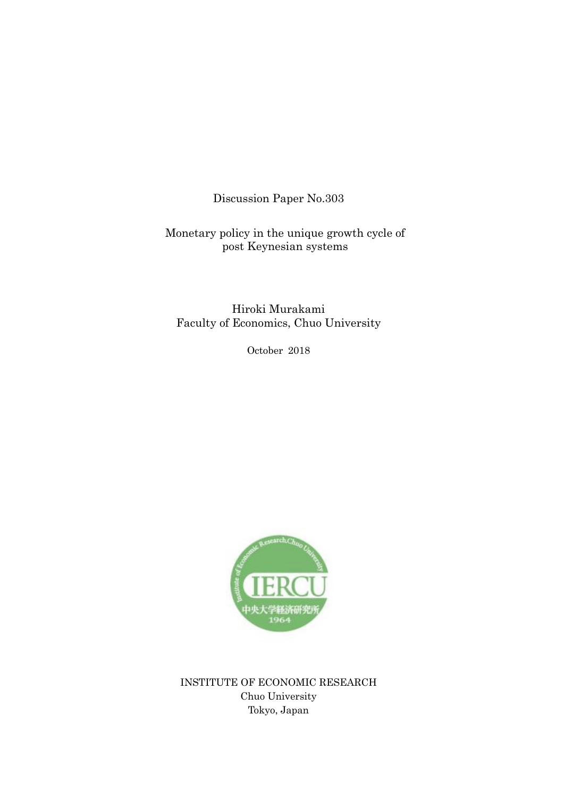Discussion Paper No.303

Monetary policy in the unique growth cycle of post Keynesian systems

Hiroki Murakami Faculty of Economics, Chuo University

October 2018



INSTITUTE OF ECONOMIC RESEARCH Chuo University Tokyo, Japan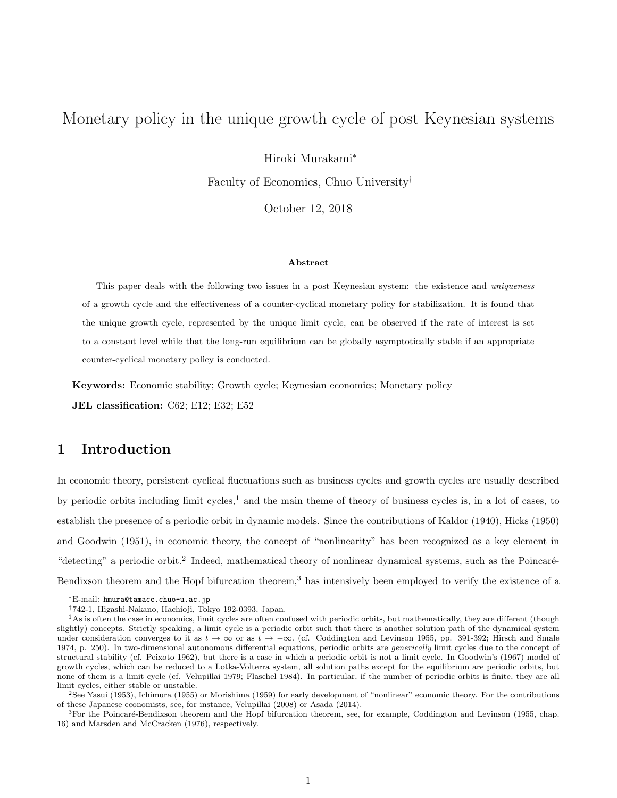# Monetary policy in the unique growth cycle of post Keynesian systems

Hiroki Murakami<sup>∗</sup>

Faculty of Economics, Chuo University†

October 12, 2018

#### Abstract

This paper deals with the following two issues in a post Keynesian system: the existence and uniqueness of a growth cycle and the effectiveness of a counter-cyclical monetary policy for stabilization. It is found that the unique growth cycle, represented by the unique limit cycle, can be observed if the rate of interest is set to a constant level while that the long-run equilibrium can be globally asymptotically stable if an appropriate counter-cyclical monetary policy is conducted.

Keywords: Economic stability; Growth cycle; Keynesian economics; Monetary policy

JEL classification: C62; E12; E32; E52

### 1 Introduction

In economic theory, persistent cyclical fluctuations such as business cycles and growth cycles are usually described by periodic orbits including limit cycles,<sup>1</sup> and the main theme of theory of business cycles is, in a lot of cases, to establish the presence of a periodic orbit in dynamic models. Since the contributions of Kaldor (1940), Hicks (1950) and Goodwin (1951), in economic theory, the concept of "nonlinearity" has been recognized as a key element in "detecting" a periodic orbit.<sup>2</sup> Indeed, mathematical theory of nonlinear dynamical systems, such as the Poincaré-Bendixson theorem and the Hopf bifurcation theorem,<sup>3</sup> has intensively been employed to verify the existence of a

<sup>∗</sup>E-mail: hmura@tamacc.chuo-u.ac.jp

<sup>†</sup>742-1, Higashi-Nakano, Hachioji, Tokyo 192-0393, Japan.

<sup>&</sup>lt;sup>1</sup>As is often the case in economics, limit cycles are often confused with periodic orbits, but mathematically, they are different (though slightly) concepts. Strictly speaking, a limit cycle is a periodic orbit such that there is another solution path of the dynamical system under consideration converges to it as  $t \to \infty$  or as  $t \to -\infty$ . (cf. Coddington and Levinson 1955, pp. 391-392; Hirsch and Smale 1974, p. 250). In two-dimensional autonomous differential equations, periodic orbits are *generically* limit cycles due to the concept of structural stability (cf. Peixoto 1962), but there is a case in which a periodic orbit is not a limit cycle. In Goodwin's (1967) model of growth cycles, which can be reduced to a Lotka-Volterra system, all solution paths except for the equilibrium are periodic orbits, but none of them is a limit cycle (cf. Velupillai 1979; Flaschel 1984). In particular, if the number of periodic orbits is finite, they are all limit cycles, either stable or unstable.

<sup>2</sup>See Yasui (1953), Ichimura (1955) or Morishima (1959) for early development of "nonlinear" economic theory. For the contributions of these Japanese economists, see, for instance, Velupillai (2008) or Asada (2014).

<sup>&</sup>lt;sup>3</sup>For the Poincaré-Bendixson theorem and the Hopf bifurcation theorem, see, for example, Coddington and Levinson (1955, chap. 16) and Marsden and McCracken (1976), respectively.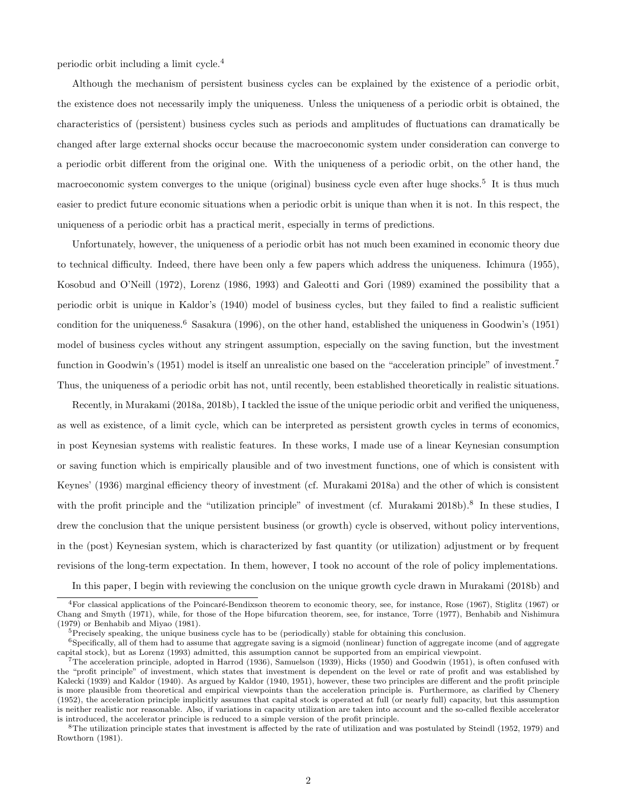periodic orbit including a limit cycle.<sup>4</sup>

Although the mechanism of persistent business cycles can be explained by the existence of a periodic orbit, the existence does not necessarily imply the uniqueness. Unless the uniqueness of a periodic orbit is obtained, the characteristics of (persistent) business cycles such as periods and amplitudes of fluctuations can dramatically be changed after large external shocks occur because the macroeconomic system under consideration can converge to a periodic orbit different from the original one. With the uniqueness of a periodic orbit, on the other hand, the macroeconomic system converges to the unique (original) business cycle even after huge shocks.<sup>5</sup> It is thus much easier to predict future economic situations when a periodic orbit is unique than when it is not. In this respect, the uniqueness of a periodic orbit has a practical merit, especially in terms of predictions.

Unfortunately, however, the uniqueness of a periodic orbit has not much been examined in economic theory due to technical difficulty. Indeed, there have been only a few papers which address the uniqueness. Ichimura (1955), Kosobud and O'Neill (1972), Lorenz (1986, 1993) and Galeotti and Gori (1989) examined the possibility that a periodic orbit is unique in Kaldor's (1940) model of business cycles, but they failed to find a realistic sufficient condition for the uniqueness.<sup>6</sup> Sasakura (1996), on the other hand, established the uniqueness in Goodwin's (1951) model of business cycles without any stringent assumption, especially on the saving function, but the investment function in Goodwin's (1951) model is itself an unrealistic one based on the "acceleration principle" of investment.<sup>7</sup> Thus, the uniqueness of a periodic orbit has not, until recently, been established theoretically in realistic situations.

Recently, in Murakami (2018a, 2018b), I tackled the issue of the unique periodic orbit and verified the uniqueness, as well as existence, of a limit cycle, which can be interpreted as persistent growth cycles in terms of economics, in post Keynesian systems with realistic features. In these works, I made use of a linear Keynesian consumption or saving function which is empirically plausible and of two investment functions, one of which is consistent with Keynes' (1936) marginal efficiency theory of investment (cf. Murakami 2018a) and the other of which is consistent with the profit principle and the "utilization principle" of investment (cf. Murakami 2018b).<sup>8</sup> In these studies, I drew the conclusion that the unique persistent business (or growth) cycle is observed, without policy interventions, in the (post) Keynesian system, which is characterized by fast quantity (or utilization) adjustment or by frequent revisions of the long-term expectation. In them, however, I took no account of the role of policy implementations.

In this paper, I begin with reviewing the conclusion on the unique growth cycle drawn in Murakami (2018b) and

<sup>&</sup>lt;sup>4</sup>For classical applications of the Poincaré-Bendixson theorem to economic theory, see, for instance, Rose (1967), Stiglitz (1967) or Chang and Smyth (1971), while, for those of the Hope bifurcation theorem, see, for instance, Torre (1977), Benhabib and Nishimura (1979) or Benhabib and Miyao (1981).

 $5$ Precisely speaking, the unique business cycle has to be (periodically) stable for obtaining this conclusion.

<sup>6</sup>Specifically, all of them had to assume that aggregate saving is a sigmoid (nonlinear) function of aggregate income (and of aggregate capital stock), but as Lorenz (1993) admitted, this assumption cannot be supported from an empirical viewpoint.

<sup>7</sup>The acceleration principle, adopted in Harrod (1936), Samuelson (1939), Hicks (1950) and Goodwin (1951), is often confused with the "profit principle" of investment, which states that investment is dependent on the level or rate of profit and was established by Kalecki (1939) and Kaldor (1940). As argued by Kaldor (1940, 1951), however, these two principles are different and the profit principle is more plausible from theoretical and empirical viewpoints than the acceleration principle is. Furthermore, as clarified by Chenery (1952), the acceleration principle implicitly assumes that capital stock is operated at full (or nearly full) capacity, but this assumption is neither realistic nor reasonable. Also, if variations in capacity utilization are taken into account and the so-called flexible accelerator is introduced, the accelerator principle is reduced to a simple version of the profit principle.

 ${}^{8}$ The utilization principle states that investment is affected by the rate of utilization and was postulated by Steindl (1952, 1979) and Rowthorn (1981).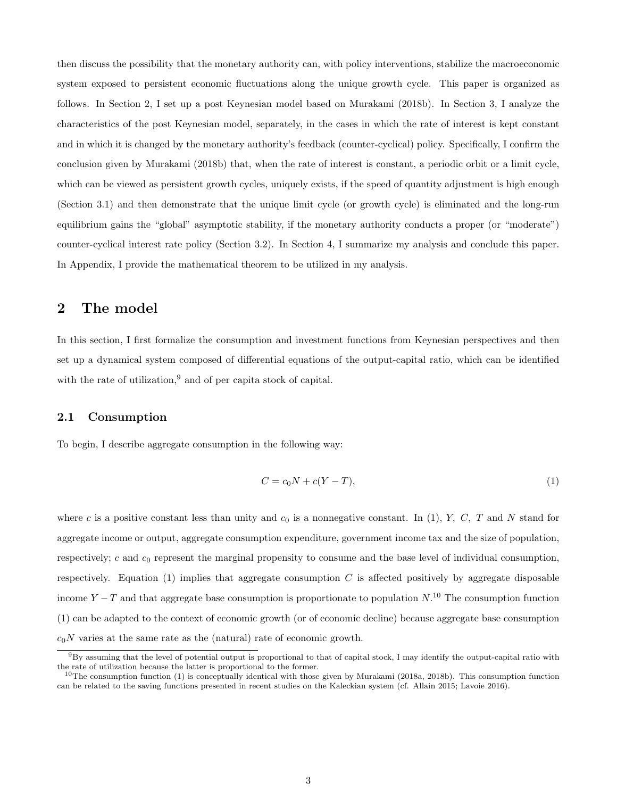then discuss the possibility that the monetary authority can, with policy interventions, stabilize the macroeconomic system exposed to persistent economic fluctuations along the unique growth cycle. This paper is organized as follows. In Section 2, I set up a post Keynesian model based on Murakami (2018b). In Section 3, I analyze the characteristics of the post Keynesian model, separately, in the cases in which the rate of interest is kept constant and in which it is changed by the monetary authority's feedback (counter-cyclical) policy. Specifically, I confirm the conclusion given by Murakami (2018b) that, when the rate of interest is constant, a periodic orbit or a limit cycle, which can be viewed as persistent growth cycles, uniquely exists, if the speed of quantity adjustment is high enough (Section 3.1) and then demonstrate that the unique limit cycle (or growth cycle) is eliminated and the long-run equilibrium gains the "global" asymptotic stability, if the monetary authority conducts a proper (or "moderate") counter-cyclical interest rate policy (Section 3.2). In Section 4, I summarize my analysis and conclude this paper. In Appendix, I provide the mathematical theorem to be utilized in my analysis.

### 2 The model

In this section, I first formalize the consumption and investment functions from Keynesian perspectives and then set up a dynamical system composed of differential equations of the output-capital ratio, which can be identified with the rate of utilization,  $9$  and of per capita stock of capital.

#### 2.1 Consumption

To begin, I describe aggregate consumption in the following way:

$$
C = c_0 N + c(Y - T),\tag{1}
$$

where c is a positive constant less than unity and  $c_0$  is a nonnegative constant. In (1), Y, C, T and N stand for aggregate income or output, aggregate consumption expenditure, government income tax and the size of population, respectively;  $c$  and  $c_0$  represent the marginal propensity to consume and the base level of individual consumption, respectively. Equation (1) implies that aggregate consumption  $C$  is affected positively by aggregate disposable income  $Y - T$  and that aggregate base consumption is proportionate to population  $N^{10}$ . The consumption function (1) can be adapted to the context of economic growth (or of economic decline) because aggregate base consumption  $c_0N$  varies at the same rate as the (natural) rate of economic growth.

<sup>9</sup>By assuming that the level of potential output is proportional to that of capital stock, I may identify the output-capital ratio with the rate of utilization because the latter is proportional to the former.

 $10$ The consumption function (1) is conceptually identical with those given by Murakami (2018a, 2018b). This consumption function can be related to the saving functions presented in recent studies on the Kaleckian system (cf. Allain 2015; Lavoie 2016).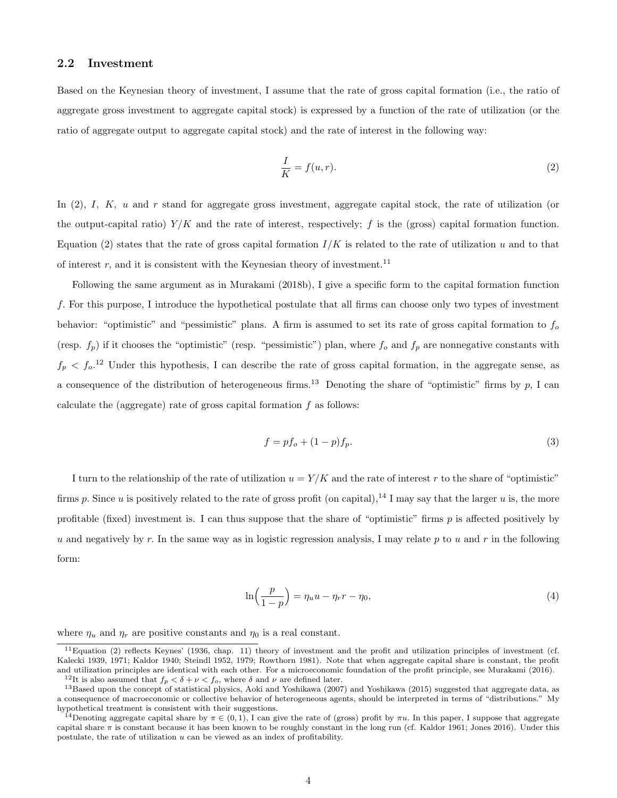#### 2.2 Investment

Based on the Keynesian theory of investment, I assume that the rate of gross capital formation (i.e., the ratio of aggregate gross investment to aggregate capital stock) is expressed by a function of the rate of utilization (or the ratio of aggregate output to aggregate capital stock) and the rate of interest in the following way:

$$
\frac{I}{K} = f(u, r). \tag{2}
$$

In  $(2)$ , I, K, u and r stand for aggregate gross investment, aggregate capital stock, the rate of utilization (or the output-capital ratio)  $Y/K$  and the rate of interest, respectively; f is the (gross) capital formation function. Equation (2) states that the rate of gross capital formation  $I/K$  is related to the rate of utilization u and to that of interest r, and it is consistent with the Keynesian theory of investment.<sup>11</sup>

Following the same argument as in Murakami (2018b), I give a specific form to the capital formation function f. For this purpose, I introduce the hypothetical postulate that all firms can choose only two types of investment behavior: "optimistic" and "pessimistic" plans. A firm is assumed to set its rate of gross capital formation to  $f_0$ (resp.  $f_p$ ) if it chooses the "optimistic" (resp. "pessimistic") plan, where  $f_o$  and  $f_p$  are nonnegative constants with  $f_p < f_o$ <sup>12</sup> Under this hypothesis, I can describe the rate of gross capital formation, in the aggregate sense, as a consequence of the distribution of heterogeneous firms.<sup>13</sup> Denoting the share of "optimistic" firms by p, I can calculate the (aggregate) rate of gross capital formation  $f$  as follows:

$$
f = pf_o + (1 - p)f_p.
$$
\n
$$
(3)
$$

I turn to the relationship of the rate of utilization  $u = Y/K$  and the rate of interest r to the share of "optimistic" firms p. Since u is positively related to the rate of gross profit (on capital),<sup>14</sup> I may say that the larger u is, the more profitable (fixed) investment is. I can thus suppose that the share of "optimistic" firms  $p$  is affected positively by u and negatively by r. In the same way as in logistic regression analysis, I may relate p to u and r in the following form:

$$
\ln\left(\frac{p}{1-p}\right) = \eta_u u - \eta_r r - \eta_0,\tag{4}
$$

where  $\eta_u$  and  $\eta_r$  are positive constants and  $\eta_0$  is a real constant.

 $11$ Equation (2) reflects Keynes' (1936, chap. 11) theory of investment and the profit and utilization principles of investment (cf. Kalecki 1939, 1971; Kaldor 1940; Steindl 1952, 1979; Rowthorn 1981). Note that when aggregate capital share is constant, the profit and utilization principles are identical with each other. For a microeconomic foundation of the profit principle, see Murakami (2016).

<sup>&</sup>lt;sup>12</sup>It is also assumed that  $f_p < \delta + \nu < f_o$ , where  $\delta$  and  $\nu$  are defined later.

<sup>&</sup>lt;sup>13</sup>Based upon the concept of statistical physics, Aoki and Yoshikawa (2007) and Yoshikawa (2015) suggested that aggregate data, as a consequence of macroeconomic or collective behavior of heterogeneous agents, should be interpreted in terms of "distributions." My hypothetical treatment is consistent with their suggestions.

<sup>&</sup>lt;sup>14</sup>Denoting aggregate capital share by  $\pi \in (0,1)$ , I can give the rate of (gross) profit by  $\pi u$ . In this paper, I suppose that aggregate capital share  $\pi$  is constant because it has been known to be roughly constant in the long run (cf. Kaldor 1961; Jones 2016). Under this postulate, the rate of utilization  $u$  can be viewed as an index of profitability.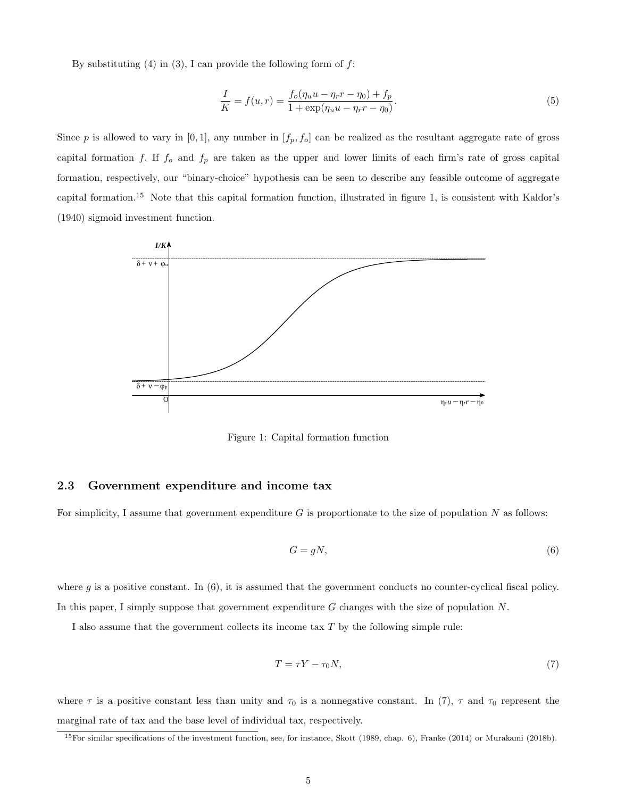By substituting  $(4)$  in  $(3)$ , I can provide the following form of  $f$ :

$$
\frac{I}{K} = f(u,r) = \frac{f_o(\eta_u u - \eta_r r - \eta_0) + f_p}{1 + \exp(\eta_u u - \eta_r r - \eta_0)}.
$$
\n(5)

Since p is allowed to vary in  $[0, 1]$ , any number in  $[f_p, f_o]$  can be realized as the resultant aggregate rate of gross capital formation f. If  $f_o$  and  $f_p$  are taken as the upper and lower limits of each firm's rate of gross capital formation, respectively, our "binary-choice" hypothesis can be seen to describe any feasible outcome of aggregate capital formation.<sup>15</sup> Note that this capital formation function, illustrated in figure 1, is consistent with Kaldor's (1940) sigmoid investment function.



Figure 1: Capital formation function

#### 2.3 Government expenditure and income tax

For simplicity, I assume that government expenditure  $G$  is proportionate to the size of population  $N$  as follows:

$$
G = gN,\tag{6}
$$

where g is a positive constant. In  $(6)$ , it is assumed that the government conducts no counter-cyclical fiscal policy. In this paper, I simply suppose that government expenditure G changes with the size of population N.

I also assume that the government collects its income tax  $T$  by the following simple rule:

$$
T = \tau Y - \tau_0 N,\tag{7}
$$

where  $\tau$  is a positive constant less than unity and  $\tau_0$  is a nonnegative constant. In (7),  $\tau$  and  $\tau_0$  represent the marginal rate of tax and the base level of individual tax, respectively.

<sup>&</sup>lt;sup>15</sup>For similar specifications of the investment function, see, for instance, Skott (1989, chap. 6), Franke (2014) or Murakami (2018b).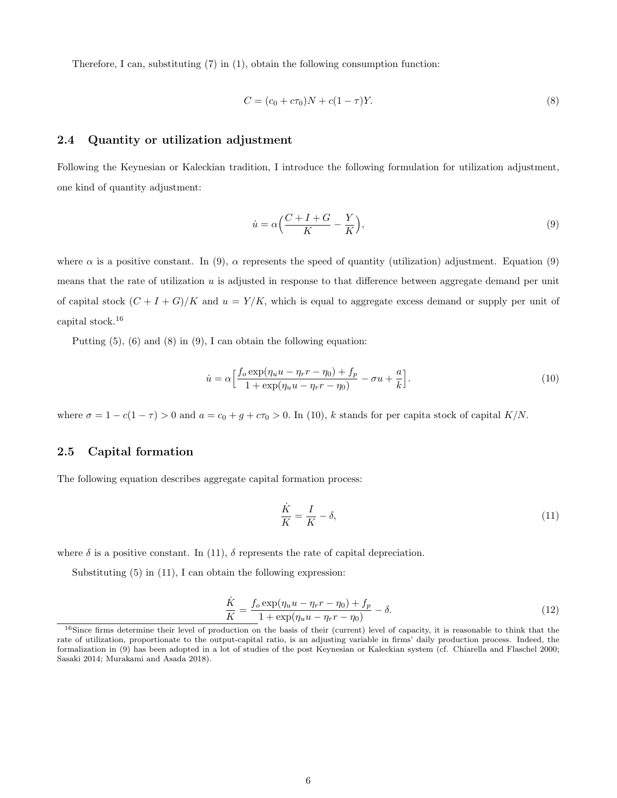Therefore, I can, substituting  $(7)$  in  $(1)$ , obtain the following consumption function:

$$
C = (c_0 + c\tau_0)N + c(1 - \tau)Y.
$$
\n(8)

#### 2.4 Quantity or utilization adjustment

Following the Keynesian or Kaleckian tradition, I introduce the following formulation for utilization adjustment, one kind of quantity adjustment:

$$
\dot{u} = \alpha \left( \frac{C + I + G}{K} - \frac{Y}{K} \right),\tag{9}
$$

where  $\alpha$  is a positive constant. In (9),  $\alpha$  represents the speed of quantity (utilization) adjustment. Equation (9) means that the rate of utilization  $u$  is adjusted in response to that difference between aggregate demand per unit of capital stock  $(C + I + G)/K$  and  $u = Y/K$ , which is equal to aggregate excess demand or supply per unit of capital stock.<sup>16</sup>

Putting (5), (6) and (8) in (9), I can obtain the following equation:

$$
\dot{u} = \alpha \left[ \frac{f_o \exp(\eta_u u - \eta_r r - \eta_0) + f_p}{1 + \exp(\eta_u u - \eta_r r - \eta_0)} - \sigma u + \frac{a}{k} \right].
$$
\n(10)

where  $\sigma = 1 - c(1 - \tau) > 0$  and  $a = c_0 + g + c\tau_0 > 0$ . In (10), k stands for per capita stock of capital K/N.

#### 2.5 Capital formation

The following equation describes aggregate capital formation process:

$$
\frac{\dot{K}}{K} = \frac{I}{K} - \delta,\tag{11}
$$

where  $\delta$  is a positive constant. In (11),  $\delta$  represents the rate of capital depreciation.

Substituting (5) in (11), I can obtain the following expression:

$$
\frac{\dot{K}}{K} = \frac{f_o \exp(\eta_u u - \eta_r r - \eta_0) + f_p}{1 + \exp(\eta_u u - \eta_r r - \eta_0)} - \delta.
$$
\n(12)

<sup>&</sup>lt;sup>16</sup>Since firms determine their level of production on the basis of their (current) level of capacity, it is reasonable to think that the rate of utilization, proportionate to the output-capital ratio, is an adjusting variable in firms' daily production process. Indeed, the formalization in (9) has been adopted in a lot of studies of the post Keynesian or Kaleckian system (cf. Chiarella and Flaschel 2000; Sasaki 2014; Murakami and Asada 2018).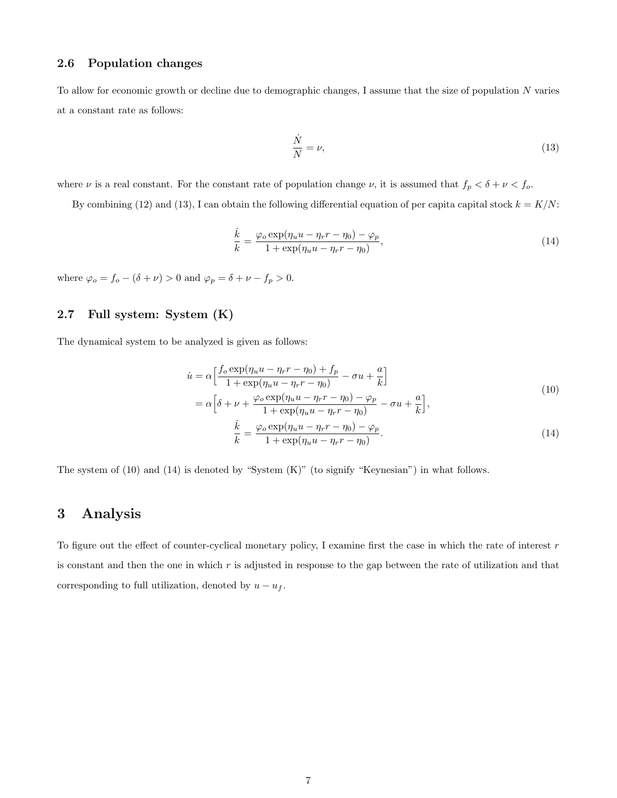#### 2.6 Population changes

To allow for economic growth or decline due to demographic changes, I assume that the size of population N varies at a constant rate as follows:

$$
\frac{\dot{N}}{N} = \nu,\tag{13}
$$

where  $\nu$  is a real constant. For the constant rate of population change  $\nu$ , it is assumed that  $f_p < \delta + \nu < f_o$ .

By combining (12) and (13), I can obtain the following differential equation of per capital capital stock  $k = K/N$ :

$$
\frac{\dot{k}}{k} = \frac{\varphi_o \exp(\eta_u u - \eta_r r - \eta_0) - \varphi_p}{1 + \exp(\eta_u u - \eta_r r - \eta_0)},\tag{14}
$$

where  $\varphi_o = f_o - (\delta + \nu) > 0$  and  $\varphi_p = \delta + \nu - f_p > 0$ .

### 2.7 Full system: System (K)

The dynamical system to be analyzed is given as follows:

$$
\dot{u} = \alpha \left[ \frac{f_o \exp(\eta_u u - \eta_r r - \eta_0) + f_p}{1 + \exp(\eta_u u - \eta_r r - \eta_0)} - \sigma u + \frac{a}{k} \right]
$$
  
\n
$$
= \alpha \left[ \delta + \nu + \frac{\varphi_o \exp(\eta_u u - \eta_r r - \eta_0) - \varphi_p}{1 + \exp(\eta_u u - \eta_r r - \eta_0)} - \sigma u + \frac{a}{k} \right],
$$
  
\n
$$
\frac{\dot{k}}{k} = \frac{\varphi_o \exp(\eta_u u - \eta_r r - \eta_0) - \varphi_p}{1 + \exp(\eta_u u - \eta_r r - \eta_0)}.
$$
\n(14)

The system of (10) and (14) is denoted by "System (K)" (to signify "Keynesian") in what follows.

### 3 Analysis

To figure out the effect of counter-cyclical monetary policy, I examine first the case in which the rate of interest  $r$ is constant and then the one in which  $r$  is adjusted in response to the gap between the rate of utilization and that corresponding to full utilization, denoted by  $u - u_f$ .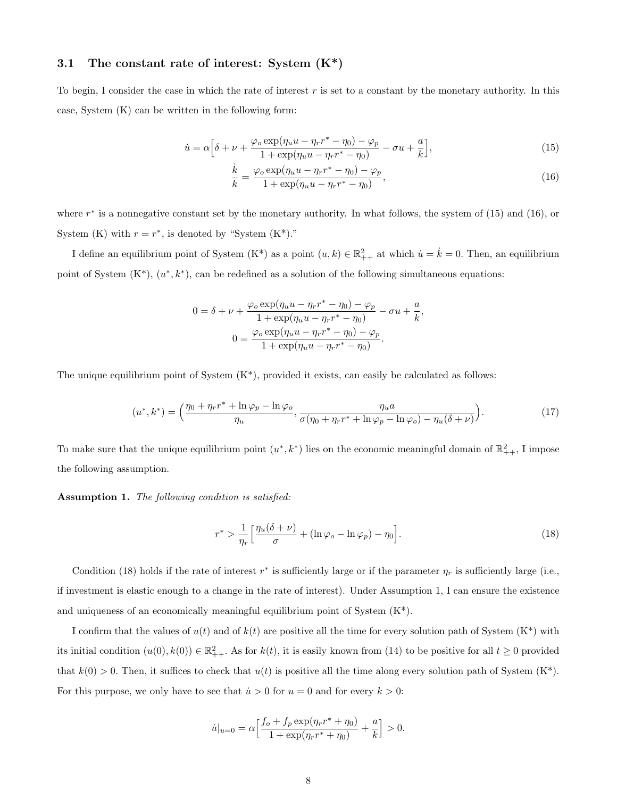#### 3.1 The constant rate of interest: System  $(K^*)$

To begin, I consider the case in which the rate of interest  $r$  is set to a constant by the monetary authority. In this case, System (K) can be written in the following form:

$$
\dot{u} = \alpha \left[ \delta + \nu + \frac{\varphi_o \exp(\eta_u u - \eta_r r^* - \eta_0) - \varphi_p}{1 + \exp(\eta_u u - \eta_r r^* - \eta_0)} - \sigma u + \frac{a}{k} \right],\tag{15}
$$

$$
\frac{\dot{k}}{k} = \frac{\varphi_o \exp(\eta_u u - \eta_r r^* - \eta_0) - \varphi_p}{1 + \exp(\eta_u u - \eta_r r^* - \eta_0)},\tag{16}
$$

where  $r^*$  is a nonnegative constant set by the monetary authority. In what follows, the system of  $(15)$  and  $(16)$ , or System (K) with  $r = r^*$ , is denoted by "System  $(K^*)$ ."

I define an equilibrium point of System  $(K^*)$  as a point  $(u, k) \in \mathbb{R}^2_{++}$  at which  $\dot{u} = \dot{k} = 0$ . Then, an equilibrium point of System  $(K^*)$ ,  $(u^*, k^*)$ , can be redefined as a solution of the following simultaneous equations:

$$
0 = \delta + \nu + \frac{\varphi_o \exp(\eta_u u - \eta_r r^* - \eta_0) - \varphi_p}{1 + \exp(\eta_u u - \eta_r r^* - \eta_0)} - \sigma u + \frac{a}{k},
$$

$$
0 = \frac{\varphi_o \exp(\eta_u u - \eta_r r^* - \eta_0) - \varphi_p}{1 + \exp(\eta_u u - \eta_r r^* - \eta_0)}.
$$

The unique equilibrium point of System  $(K^*)$ , provided it exists, can easily be calculated as follows:

$$
(u^*,k^*) = \left(\frac{\eta_0 + \eta_r r^* + \ln \varphi_p - \ln \varphi_o}{\eta_u}, \frac{\eta_u a}{\sigma(\eta_0 + \eta_r r^* + \ln \varphi_p - \ln \varphi_o) - \eta_u(\delta + \nu)}\right). \tag{17}
$$

To make sure that the unique equilibrium point  $(u^*, k^*)$  lies on the economic meaningful domain of  $\mathbb{R}^2_{++}$ , I impose the following assumption.

Assumption 1. The following condition is satisfied:

$$
r^* > \frac{1}{\eta_r} \left[ \frac{\eta_u(\delta + \nu)}{\sigma} + (\ln \varphi_o - \ln \varphi_p) - \eta_0 \right].
$$
 (18)

Condition (18) holds if the rate of interest  $r^*$  is sufficiently large or if the parameter  $\eta_r$  is sufficiently large (i.e., if investment is elastic enough to a change in the rate of interest). Under Assumption 1, I can ensure the existence and uniqueness of an economically meaningful equilibrium point of System  $(K^*)$ .

I confirm that the values of  $u(t)$  and of  $k(t)$  are positive all the time for every solution path of System  $(K^*)$  with its initial condition  $(u(0), k(0)) \in \mathbb{R}^2_{++}$ . As for  $k(t)$ , it is easily known from (14) to be positive for all  $t \geq 0$  provided that  $k(0) > 0$ . Then, it suffices to check that  $u(t)$  is positive all the time along every solution path of System  $(K^*)$ . For this purpose, we only have to see that  $\dot{u} > 0$  for  $u = 0$  and for every  $k > 0$ :

$$
\dot{u}|_{u=0} = \alpha \Big[ \frac{f_o + f_p \exp(\eta_r r^* + \eta_0)}{1 + \exp(\eta_r r^* + \eta_0)} + \frac{a}{k} \Big] > 0.
$$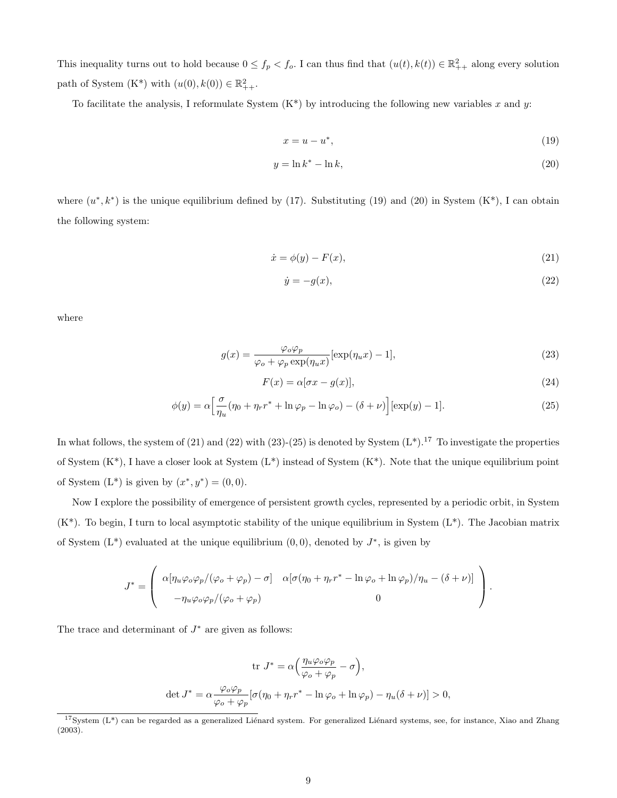This inequality turns out to hold because  $0 \le f_p < f_o$ . I can thus find that  $(u(t), k(t)) \in \mathbb{R}^2_{++}$  along every solution path of System  $(K^*)$  with  $(u(0), k(0)) \in \mathbb{R}^2_{++}$ .

To facilitate the analysis, I reformulate System  $(K^*)$  by introducing the following new variables x and y:

$$
x = u - u^*,\tag{19}
$$

$$
y = \ln k^* - \ln k,\tag{20}
$$

where  $(u^*, k^*)$  is the unique equilibrium defined by (17). Substituting (19) and (20) in System  $(K^*)$ , I can obtain the following system:

$$
\dot{x} = \phi(y) - F(x),\tag{21}
$$

$$
\dot{y} = -g(x),\tag{22}
$$

where

$$
g(x) = \frac{\varphi_o \varphi_p}{\varphi_o + \varphi_p \exp(\eta_u x)} [\exp(\eta_u x) - 1],
$$
\n(23)

$$
F(x) = \alpha[\sigma x - g(x)],\tag{24}
$$

$$
\phi(y) = \alpha \left[ \frac{\sigma}{\eta_u} (\eta_0 + \eta_r r^* + \ln \varphi_p - \ln \varphi_o) - (\delta + \nu) \right] [\exp(y) - 1]. \tag{25}
$$

In what follows, the system of (21) and (22) with (23)-(25) is denoted by System  $(L^*)$ .<sup>17</sup> To investigate the properties of System  $(K^*)$ , I have a closer look at System  $(L^*)$  instead of System  $(K^*)$ . Note that the unique equilibrium point of System  $(L^*)$  is given by  $(x^*, y^*) = (0, 0)$ .

Now I explore the possibility of emergence of persistent growth cycles, represented by a periodic orbit, in System  $(K^*)$ . To begin, I turn to local asymptotic stability of the unique equilibrium in System  $(L^*)$ . The Jacobian matrix of System  $(L^*)$  evaluated at the unique equilibrium  $(0,0)$ , denoted by  $J^*$ , is given by

$$
J^* = \left( \begin{array}{cc} \alpha[\eta_u \varphi_o \varphi_p/(\varphi_o + \varphi_p) - \sigma] & \alpha[\sigma(\eta_0 + \eta_r r^* - \ln \varphi_o + \ln \varphi_p)/\eta_u - (\delta + \nu)] \\ -\eta_u \varphi_o \varphi_p/(\varphi_o + \varphi_p) & 0 \end{array} \right).
$$

The trace and determinant of  $J^*$  are given as follows:

$$
\operatorname{tr}\,J^* = \alpha \Big(\frac{\eta_u \varphi_o \varphi_p}{\varphi_o + \varphi_p} - \sigma\Big),
$$
  

$$
\operatorname{det}\,J^* = \alpha \frac{\varphi_o \varphi_p}{\varphi_o + \varphi_p} [\sigma(\eta_0 + \eta_r r^* - \ln \varphi_o + \ln \varphi_p) - \eta_u(\delta + \nu)] > 0,
$$

 $17$ System (L<sup>\*</sup>) can be regarded as a generalized Liénard system. For generalized Liénard systems, see, for instance, Xiao and Zhang (2003).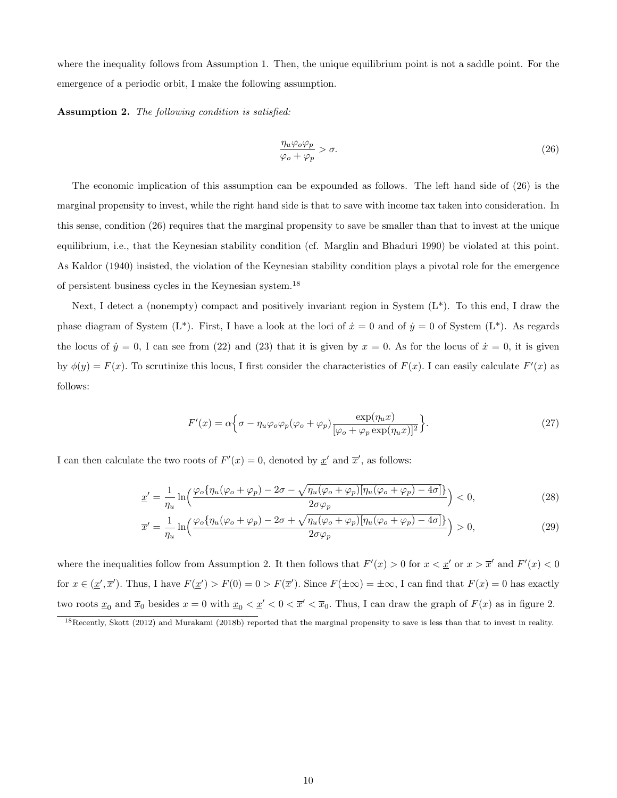where the inequality follows from Assumption 1. Then, the unique equilibrium point is not a saddle point. For the emergence of a periodic orbit, I make the following assumption.

Assumption 2. The following condition is satisfied:

$$
\frac{\eta_u \varphi_o \varphi_p}{\varphi_o + \varphi_p} > \sigma.
$$
\n(26)

The economic implication of this assumption can be expounded as follows. The left hand side of (26) is the marginal propensity to invest, while the right hand side is that to save with income tax taken into consideration. In this sense, condition (26) requires that the marginal propensity to save be smaller than that to invest at the unique equilibrium, i.e., that the Keynesian stability condition (cf. Marglin and Bhaduri 1990) be violated at this point. As Kaldor (1940) insisted, the violation of the Keynesian stability condition plays a pivotal role for the emergence of persistent business cycles in the Keynesian system.<sup>18</sup>

Next, I detect a (nonempty) compact and positively invariant region in System  $(L^*)$ . To this end, I draw the phase diagram of System (L<sup>\*</sup>). First, I have a look at the loci of  $\dot{x} = 0$  and of  $\dot{y} = 0$  of System (L<sup>\*</sup>). As regards the locus of  $\dot{y} = 0$ , I can see from (22) and (23) that it is given by  $x = 0$ . As for the locus of  $\dot{x} = 0$ , it is given by  $\phi(y) = F(x)$ . To scrutinize this locus, I first consider the characteristics of  $F(x)$ . I can easily calculate  $F'(x)$  as follows:

$$
F'(x) = \alpha \Big\{ \sigma - \eta_u \varphi_o \varphi_p (\varphi_o + \varphi_p) \frac{\exp(\eta_u x)}{[\varphi_o + \varphi_p \exp(\eta_u x)]^2} \Big\}.
$$
 (27)

I can then calculate the two roots of  $F'(x) = 0$ , denoted by  $x'$  and  $\overline{x}'$ , as follows:

$$
\underline{x}' = \frac{1}{\eta_u} \ln \left( \frac{\varphi_o \{ \eta_u(\varphi_o + \varphi_p) - 2\sigma - \sqrt{\eta_u(\varphi_o + \varphi_p)} [\eta_u(\varphi_o + \varphi_p) - 4\sigma]}{2\sigma \varphi_p} \right) < 0,\tag{28}
$$

$$
\overline{x}' = \frac{1}{\eta_u} \ln \left( \frac{\varphi_o \{ \eta_u(\varphi_o + \varphi_p) - 2\sigma + \sqrt{\eta_u(\varphi_o + \varphi_p)} [\eta_u(\varphi_o + \varphi_p) - 4\sigma]}{2\sigma \varphi_p} \right) > 0, \tag{29}
$$

where the inequalities follow from Assumption 2. It then follows that  $F'(x) > 0$  for  $x < \underline{x}'$  or  $x > \overline{x}'$  and  $F'(x) < 0$ for  $x \in (\underline{x}', \overline{x}')$ . Thus, I have  $F(\underline{x}') > F(0) = 0 > F(\overline{x}')$ . Since  $F(\pm \infty) = \pm \infty$ , I can find that  $F(x) = 0$  has exactly two roots  $\underline{x}_0$  and  $\overline{x}_0$  besides  $x = 0$  with  $\underline{x}_0 < \underline{x}' < 0 < \overline{x}' < \overline{x}_0$ . Thus, I can draw the graph of  $F(x)$  as in figure 2.

 $18$ Recently, Skott (2012) and Murakami (2018b) reported that the marginal propensity to save is less than that to invest in reality.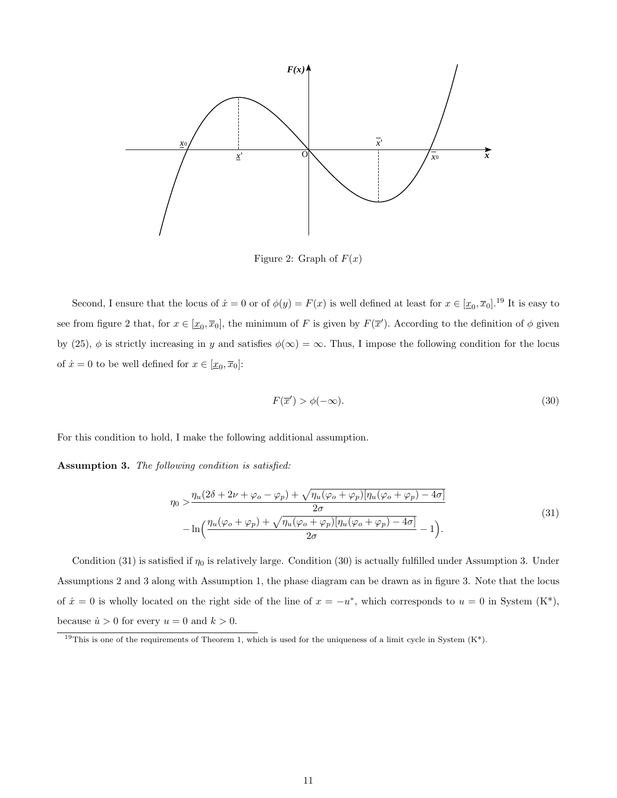

Figure 2: Graph of  $F(x)$ 

Second, I ensure that the locus of  $\dot{x} = 0$  or of  $\phi(y) = F(x)$  is well defined at least for  $x \in [\underline{x}_0, \overline{x}_0]$ .<sup>19</sup> It is easy to see from figure 2 that, for  $x \in [\underline{x}_0, \overline{x}_0]$ , the minimum of F is given by  $F(\overline{x}')$ . According to the definition of  $\phi$  given by (25),  $\phi$  is strictly increasing in y and satisfies  $\phi(\infty) = \infty$ . Thus, I impose the following condition for the locus of  $\dot{x} = 0$  to be well defined for  $x \in [\underline{x}_0, \overline{x}_0]$ :

$$
F(\overline{x}') > \phi(-\infty). \tag{30}
$$

For this condition to hold, I make the following additional assumption.

Assumption 3. The following condition is satisfied:

$$
\eta_0 > \frac{\eta_u(2\delta + 2\nu + \varphi_o - \varphi_p) + \sqrt{\eta_u(\varphi_o + \varphi_p)[\eta_u(\varphi_o + \varphi_p) - 4\sigma]}}{2\sigma} \n- \ln\left(\frac{\eta_u(\varphi_o + \varphi_p) + \sqrt{\eta_u(\varphi_o + \varphi_p)[\eta_u(\varphi_o + \varphi_p) - 4\sigma]}}{2\sigma} - 1\right).
$$
\n(31)

Condition (31) is satisfied if  $\eta_0$  is relatively large. Condition (30) is actually fulfilled under Assumption 3. Under Assumptions 2 and 3 along with Assumption 1, the phase diagram can be drawn as in figure 3. Note that the locus of  $\dot{x} = 0$  is wholly located on the right side of the line of  $x = -u^*$ , which corresponds to  $u = 0$  in System  $(K^*),$ because  $\dot{u} > 0$  for every  $u = 0$  and  $k > 0$ .

<sup>&</sup>lt;sup>19</sup>This is one of the requirements of Theorem 1, which is used for the uniqueness of a limit cycle in System  $(K^*)$ .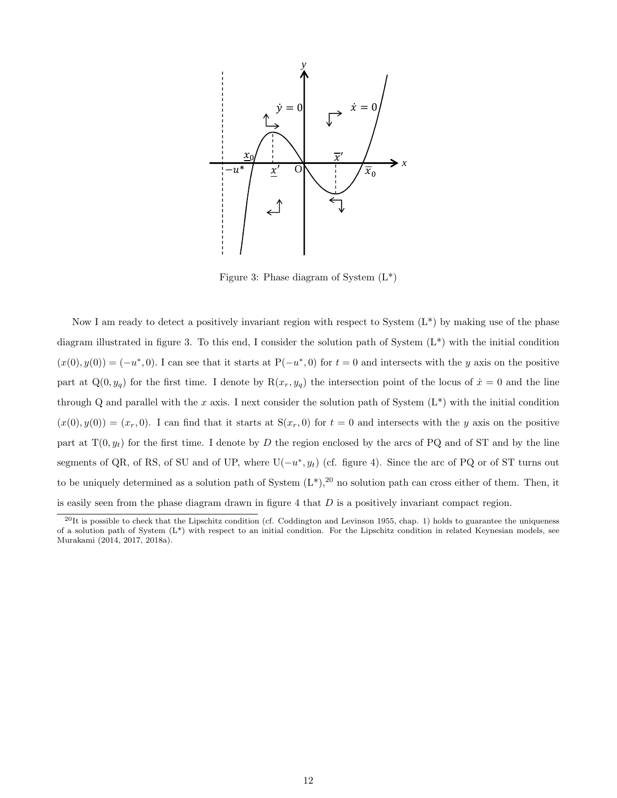

Figure 3: Phase diagram of System  $(L^*)$ 

Now I am ready to detect a positively invariant region with respect to System  $(L^*)$  by making use of the phase diagram illustrated in figure 3. To this end, I consider the solution path of System  $(L^*)$  with the initial condition  $(x(0), y(0)) = (-u^*, 0)$ . I can see that it starts at P $(-u^*, 0)$  for  $t = 0$  and intersects with the y axis on the positive part at  $Q(0, y_q)$  for the first time. I denote by  $R(x_r, y_q)$  the intersection point of the locus of  $\dot{x} = 0$  and the line through Q and parallel with the x axis. I next consider the solution path of System  $(L^*)$  with the initial condition  $(x(0), y(0)) = (x<sub>r</sub>, 0)$ . I can find that it starts at  $S(x<sub>r</sub>, 0)$  for  $t = 0$  and intersects with the y axis on the positive part at  $T(0, y_t)$  for the first time. I denote by D the region enclosed by the arcs of PQ and of ST and by the line segments of QR, of RS, of SU and of UP, where  $U(-u^*, y_t)$  (cf. figure 4). Since the arc of PQ or of ST turns out to be uniquely determined as a solution path of System  $(L^*)$ ,  $^{20}$  no solution path can cross either of them. Then, it is easily seen from the phase diagram drawn in figure 4 that  $D$  is a positively invariant compact region.

 $^{20}$ It is possible to check that the Lipschitz condition (cf. Coddington and Levinson 1955, chap. 1) holds to guarantee the uniqueness of a solution path of System  $(L^*)$  with respect to an initial condition. For the Lipschitz condition in related Keynesian models, see Murakami (2014, 2017, 2018a).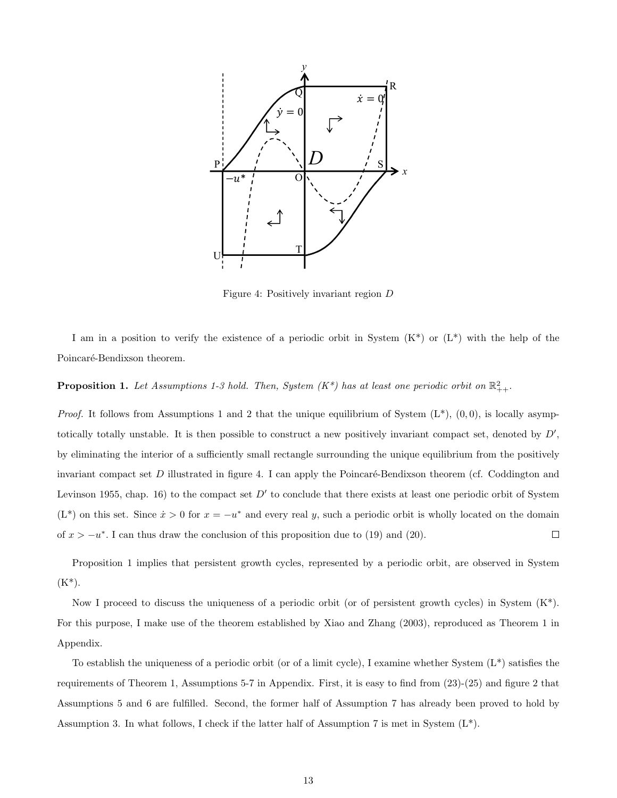

Figure 4: Positively invariant region D

I am in a position to verify the existence of a periodic orbit in System  $(K^*)$  or  $(L^*)$  with the help of the Poincaré-Bendixson theorem.

**Proposition 1.** Let Assumptions 1-3 hold. Then, System  $(K^*)$  has at least one periodic orbit on  $\mathbb{R}^2_{++}$ .

*Proof.* It follows from Assumptions 1 and 2 that the unique equilibrium of System  $(L^*), (0, 0)$ , is locally asymptotically totally unstable. It is then possible to construct a new positively invariant compact set, denoted by  $D'$ , by eliminating the interior of a sufficiently small rectangle surrounding the unique equilibrium from the positively invariant compact set  $D$  illustrated in figure 4. I can apply the Poincaré-Bendixson theorem (cf. Coddington and Levinson 1955, chap. 16) to the compact set  $D'$  to conclude that there exists at least one periodic orbit of System  $(L^*)$  on this set. Since  $\dot{x} > 0$  for  $x = -u^*$  and every real y, such a periodic orbit is wholly located on the domain of  $x > -u^*$ . I can thus draw the conclusion of this proposition due to (19) and (20).  $\Box$ 

Proposition 1 implies that persistent growth cycles, represented by a periodic orbit, are observed in System  $(K^*)$ .

Now I proceed to discuss the uniqueness of a periodic orbit (or of persistent growth cycles) in System (K\*). For this purpose, I make use of the theorem established by Xiao and Zhang (2003), reproduced as Theorem 1 in Appendix.

To establish the uniqueness of a periodic orbit (or of a limit cycle), I examine whether System  $(L^*)$  satisfies the requirements of Theorem 1, Assumptions 5-7 in Appendix. First, it is easy to find from (23)-(25) and figure 2 that Assumptions 5 and 6 are fulfilled. Second, the former half of Assumption 7 has already been proved to hold by Assumption 3. In what follows, I check if the latter half of Assumption 7 is met in System  $(L^*)$ .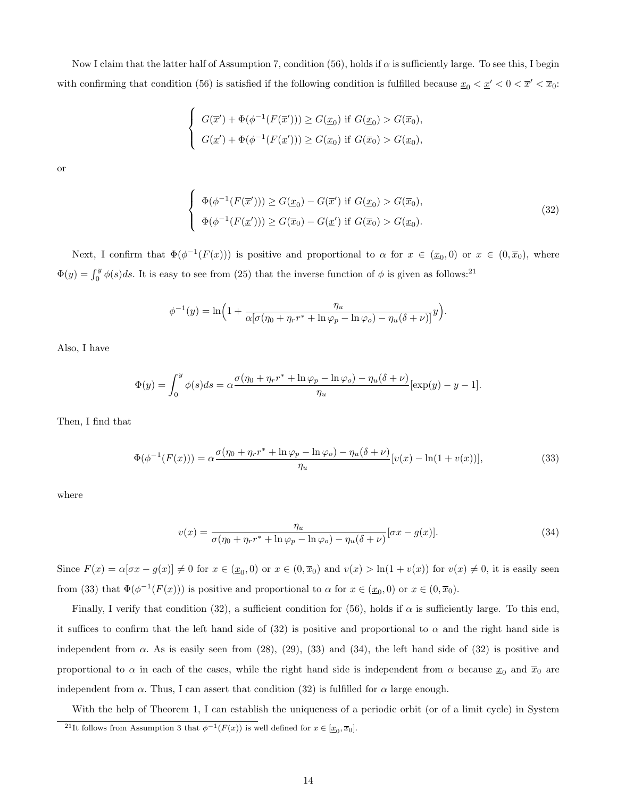Now I claim that the latter half of Assumption 7, condition (56), holds if  $\alpha$  is sufficiently large. To see this, I begin with confirming that condition (56) is satisfied if the following condition is fulfilled because  $\underline{x}_0 < \underline{x}' < 0 < \overline{x}' < \overline{x}_0$ :

$$
\begin{cases}\nG(\overline{x}') + \Phi(\phi^{-1}(F(\overline{x}'))) \ge G(\underline{x}_0) \text{ if } G(\underline{x}_0) > G(\overline{x}_0), \\
G(\underline{x}') + \Phi(\phi^{-1}(F(\underline{x}'))) \ge G(\underline{x}_0) \text{ if } G(\overline{x}_0) > G(\underline{x}_0),\n\end{cases}
$$

or

$$
\begin{cases}\n\Phi(\phi^{-1}(F(\overline{x}'))) \ge G(\underline{x}_0) - G(\overline{x}') \text{ if } G(\underline{x}_0) > G(\overline{x}_0), \\
\Phi(\phi^{-1}(F(\underline{x}'))) \ge G(\overline{x}_0) - G(\underline{x}') \text{ if } G(\overline{x}_0) > G(\underline{x}_0).\n\end{cases}
$$
\n(32)

Next, I confirm that  $\Phi(\phi^{-1}(F(x)))$  is positive and proportional to  $\alpha$  for  $x \in (\underline{x}_0,0)$  or  $x \in (0,\overline{x}_0)$ , where  $\Phi(y) = \int_0^y \phi(s)ds$ . It is easy to see from (25) that the inverse function of  $\phi$  is given as follows:<sup>21</sup>

$$
\phi^{-1}(y) = \ln\left(1 + \frac{\eta_u}{\alpha[\sigma(\eta_0 + \eta_r r^* + \ln \varphi_p - \ln \varphi_o) - \eta_u(\delta + \nu)]}y\right).
$$

Also, I have

$$
\Phi(y) = \int_0^y \phi(s)ds = \alpha \frac{\sigma(\eta_0 + \eta_r r^* + \ln \varphi_p - \ln \varphi_o) - \eta_u(\delta + \nu)}{\eta_u} [\exp(y) - y - 1].
$$

Then, I find that

$$
\Phi(\phi^{-1}(F(x))) = \alpha \frac{\sigma(\eta_0 + \eta_r r^* + \ln \varphi_p - \ln \varphi_o) - \eta_u(\delta + \nu)}{\eta_u} [v(x) - \ln(1 + v(x))],
$$
\n(33)

where

$$
v(x) = \frac{\eta_u}{\sigma(\eta_0 + \eta_r r^* + \ln \varphi_p - \ln \varphi_o) - \eta_u(\delta + \nu)} [\sigma x - g(x)].
$$
\n(34)

Since  $F(x) = \alpha[\sigma x - g(x)] \neq 0$  for  $x \in (\underline{x}_0, 0)$  or  $x \in (0, \overline{x}_0)$  and  $v(x) > \ln(1 + v(x))$  for  $v(x) \neq 0$ , it is easily seen from (33) that  $\Phi(\phi^{-1}(F(x)))$  is positive and proportional to  $\alpha$  for  $x \in (\underline{x}_0, 0)$  or  $x \in (0, \overline{x}_0)$ .

Finally, I verify that condition (32), a sufficient condition for (56), holds if  $\alpha$  is sufficiently large. To this end, it suffices to confirm that the left hand side of (32) is positive and proportional to  $\alpha$  and the right hand side is independent from  $\alpha$ . As is easily seen from (28), (29), (33) and (34), the left hand side of (32) is positive and proportional to  $\alpha$  in each of the cases, while the right hand side is independent from  $\alpha$  because  $\underline{x}_0$  and  $\overline{x}_0$  are independent from  $\alpha$ . Thus, I can assert that condition (32) is fulfilled for  $\alpha$  large enough.

With the help of Theorem 1, I can establish the uniqueness of a periodic orbit (or of a limit cycle) in System

<sup>&</sup>lt;sup>21</sup>It follows from Assumption 3 that  $\phi^{-1}(F(x))$  is well defined for  $x \in [\underline{x}_0, \overline{x}_0]$ .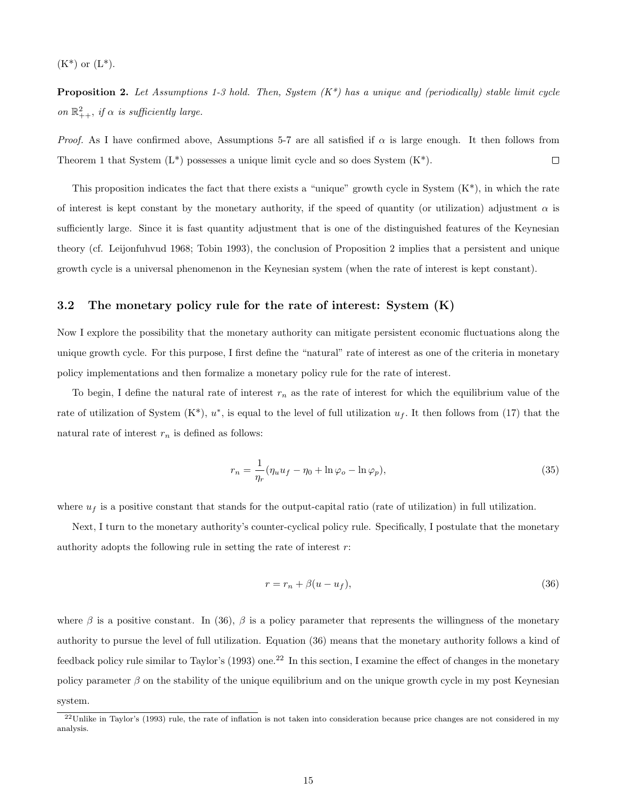$(K^*)$  or  $(L^*)$ .

**Proposition 2.** Let Assumptions 1-3 hold. Then, System  $(K^*)$  has a unique and (periodically) stable limit cycle on  $\mathbb{R}^2_{++}$ , if  $\alpha$  is sufficiently large.

*Proof.* As I have confirmed above, Assumptions 5-7 are all satisfied if  $\alpha$  is large enough. It then follows from Theorem 1 that System  $(L^*)$  possesses a unique limit cycle and so does System  $(K^*)$ .  $\Box$ 

This proposition indicates the fact that there exists a "unique" growth cycle in System  $(K^*)$ , in which the rate of interest is kept constant by the monetary authority, if the speed of quantity (or utilization) adjustment  $\alpha$  is sufficiently large. Since it is fast quantity adjustment that is one of the distinguished features of the Keynesian theory (cf. Leijonfuhvud 1968; Tobin 1993), the conclusion of Proposition 2 implies that a persistent and unique growth cycle is a universal phenomenon in the Keynesian system (when the rate of interest is kept constant).

#### 3.2 The monetary policy rule for the rate of interest: System (K)

Now I explore the possibility that the monetary authority can mitigate persistent economic fluctuations along the unique growth cycle. For this purpose, I first define the "natural" rate of interest as one of the criteria in monetary policy implementations and then formalize a monetary policy rule for the rate of interest.

To begin, I define the natural rate of interest  $r_n$  as the rate of interest for which the equilibrium value of the rate of utilization of System  $(K^*)$ ,  $u^*$ , is equal to the level of full utilization  $u_f$ . It then follows from (17) that the natural rate of interest  $r_n$  is defined as follows:

$$
r_n = \frac{1}{\eta_r} (\eta_u u_f - \eta_0 + \ln \varphi_o - \ln \varphi_p),\tag{35}
$$

where  $u_f$  is a positive constant that stands for the output-capital ratio (rate of utilization) in full utilization.

Next, I turn to the monetary authority's counter-cyclical policy rule. Specifically, I postulate that the monetary authority adopts the following rule in setting the rate of interest  $r$ :

$$
r = r_n + \beta(u - u_f),\tag{36}
$$

where  $\beta$  is a positive constant. In (36),  $\beta$  is a policy parameter that represents the willingness of the monetary authority to pursue the level of full utilization. Equation (36) means that the monetary authority follows a kind of feedback policy rule similar to Taylor's  $(1993)$  one.<sup>22</sup> In this section, I examine the effect of changes in the monetary policy parameter  $\beta$  on the stability of the unique equilibrium and on the unique growth cycle in my post Keynesian system.

 $^{22}$ Unlike in Taylor's (1993) rule, the rate of inflation is not taken into consideration because price changes are not considered in my analysis.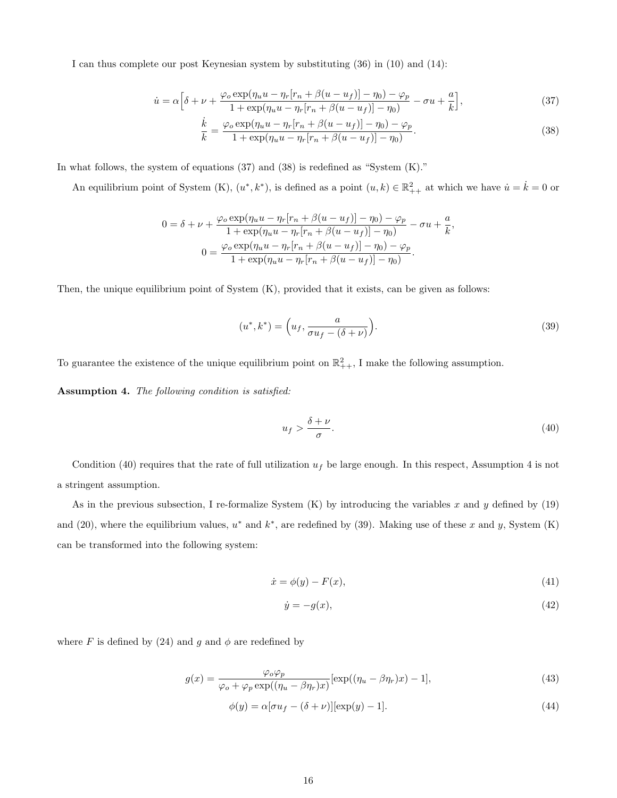I can thus complete our post Keynesian system by substituting (36) in (10) and (14):

$$
\dot{u} = \alpha \left[ \delta + \nu + \frac{\varphi_o \exp(\eta_u u - \eta_r [r_n + \beta(u - u_f)] - \eta_0) - \varphi_p}{1 + \exp(\eta_u u - \eta_r [r_n + \beta(u - u_f)] - \eta_0)} - \sigma u + \frac{a}{k} \right],\tag{37}
$$

$$
\frac{\dot{k}}{k} = \frac{\varphi_o \exp(\eta_u u - \eta_r [r_n + \beta(u - u_f)] - \eta_0) - \varphi_p}{1 + \exp(\eta_u u - \eta_r [r_n + \beta(u - u_f)] - \eta_0)}.
$$
\n(38)

In what follows, the system of equations (37) and (38) is redefined as "System (K)."

An equilibrium point of System (K),  $(u^*, k^*)$ , is defined as a point  $(u, k) \in \mathbb{R}^2_{++}$  at which we have  $\dot{u} = \dot{k} = 0$  or

$$
0 = \delta + \nu + \frac{\varphi_o \exp(\eta_u u - \eta_r [r_n + \beta(u - u_f)] - \eta_0) - \varphi_p}{1 + \exp(\eta_u u - \eta_r [r_n + \beta(u - u_f)] - \eta_0)} - \sigma u + \frac{a}{k}
$$

$$
0 = \frac{\varphi_o \exp(\eta_u u - \eta_r [r_n + \beta(u - u_f)] - \eta_0) - \varphi_p}{1 + \exp(\eta_u u - \eta_r [r_n + \beta(u - u_f)] - \eta_0)}.
$$

Then, the unique equilibrium point of System (K), provided that it exists, can be given as follows:

$$
(u^*, k^*) = \left(u_f, \frac{a}{\sigma u_f - (\delta + \nu)}\right). \tag{39}
$$

To guarantee the existence of the unique equilibrium point on  $\mathbb{R}^2_{++}$ , I make the following assumption.

Assumption 4. The following condition is satisfied:

$$
u_f > \frac{\delta + \nu}{\sigma}.\tag{40}
$$

,

Condition (40) requires that the rate of full utilization  $u_f$  be large enough. In this respect, Assumption 4 is not a stringent assumption.

As in the previous subsection, I re-formalize System  $(K)$  by introducing the variables x and y defined by (19) and (20), where the equilibrium values,  $u^*$  and  $k^*$ , are redefined by (39). Making use of these x and y, System (K) can be transformed into the following system:

$$
\dot{x} = \phi(y) - F(x),\tag{41}
$$

$$
\dot{y} = -g(x),\tag{42}
$$

where F is defined by (24) and g and  $\phi$  are redefined by

$$
g(x) = \frac{\varphi_o \varphi_p}{\varphi_o + \varphi_p \exp((\eta_u - \beta \eta_r)x)} [\exp((\eta_u - \beta \eta_r)x) - 1],
$$
\n(43)

$$
\phi(y) = \alpha[\sigma u_f - (\delta + \nu)][\exp(y) - 1].\tag{44}
$$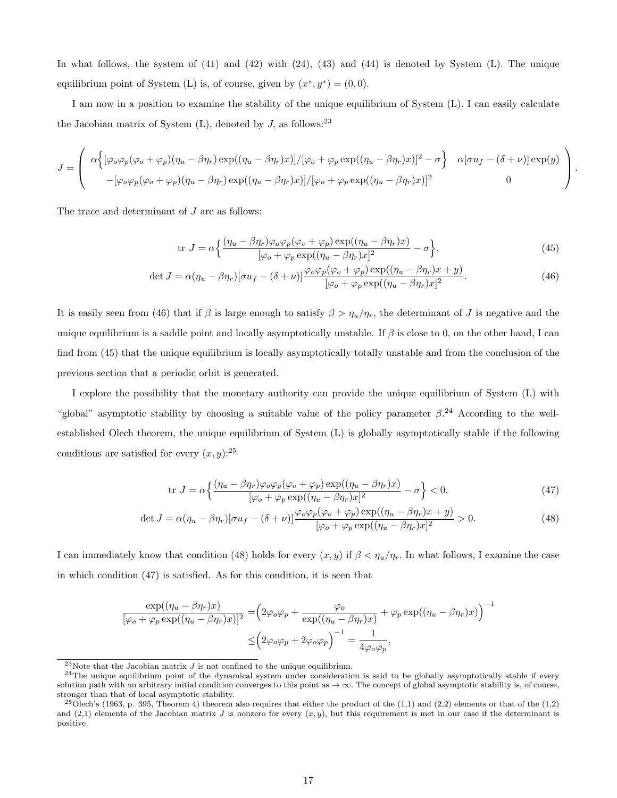In what follows, the system of (41) and (42) with (24), (43) and (44) is denoted by System (L). The unique equilibrium point of System (L) is, of course, given by  $(x^*, y^*) = (0, 0)$ .

I am now in a position to examine the stability of the unique equilibrium of System (L). I can easily calculate the Jacobian matrix of System  $(L)$ , denoted by  $J$ , as follows:<sup>23</sup>

$$
J = \begin{pmatrix} \alpha \Big\{ [\varphi_o \varphi_p (\varphi_o + \varphi_p) (\eta_u - \beta \eta_r) \exp((\eta_u - \beta \eta_r)x)] / [\varphi_o + \varphi_p \exp((\eta_u - \beta \eta_r)x)]^2 - \sigma \Big\} & \alpha [\sigma u_f - (\delta + \nu)] \exp(y) \\ - [\varphi_o \varphi_p (\varphi_o + \varphi_p) (\eta_u - \beta \eta_r) \exp((\eta_u - \beta \eta_r)x)] / [\varphi_o + \varphi_p \exp((\eta_u - \beta \eta_r)x)]^2 & 0 \end{pmatrix}.
$$

The trace and determinant of  $J$  are as follows:

$$
\text{tr } J = \alpha \left\{ \frac{(\eta_u - \beta \eta_r) \varphi_o \varphi_p (\varphi_o + \varphi_p) \exp((\eta_u - \beta \eta_r) x)}{[\varphi_o + \varphi_p \exp((\eta_u - \beta \eta_r) x)]^2} - \sigma \right\},\tag{45}
$$

$$
\det J = \alpha (\eta_u - \beta \eta_r) [\sigma u_f - (\delta + \nu)] \frac{\varphi_o \varphi_p (\varphi_o + \varphi_p) \exp((\eta_u - \beta \eta_r) x + y)}{[\varphi_o + \varphi_p \exp((\eta_u - \beta \eta_r) x)]^2}.
$$
\n(46)

It is easily seen from (46) that if  $\beta$  is large enough to satisfy  $\beta > \eta_u/\eta_r$ , the determinant of J is negative and the unique equilibrium is a saddle point and locally asymptotically unstable. If  $\beta$  is close to 0, on the other hand, I can find from (45) that the unique equilibrium is locally asymptotically totally unstable and from the conclusion of the previous section that a periodic orbit is generated.

I explore the possibility that the monetary authority can provide the unique equilibrium of System (L) with "global" asymptotic stability by choosing a suitable value of the policy parameter  $\beta$ .<sup>24</sup> According to the wellestablished Olech theorem, the unique equilibrium of System (L) is globally asymptotically stable if the following conditions are satisfied for every  $(x, y)$ :<sup>25</sup>

$$
\text{tr } J = \alpha \left\{ \frac{(\eta_u - \beta \eta_r) \varphi_o \varphi_p (\varphi_o + \varphi_p) \exp((\eta_u - \beta \eta_r) x)}{[\varphi_o + \varphi_p \exp((\eta_u - \beta \eta_r) x)]^2} - \sigma \right\} < 0,\tag{47}
$$

$$
\det J = \alpha (\eta_u - \beta \eta_r) [\sigma u_f - (\delta + \nu)] \frac{\varphi_o \varphi_p (\varphi_o + \varphi_p) \exp((\eta_u - \beta \eta_r) x + y)}{[\varphi_o + \varphi_p \exp((\eta_u - \beta \eta_r) x]^2]} > 0. \tag{48}
$$

I can immediately know that condition (48) holds for every  $(x, y)$  if  $\beta < \eta_u/\eta_r$ . In what follows, I examine the case in which condition (47) is satisfied. As for this condition, it is seen that

$$
\frac{\exp((\eta_u - \beta \eta_r)x)}{[\varphi_o + \varphi_p \exp((\eta_u - \beta \eta_r)x)]^2} = (2\varphi_o \varphi_p + \frac{\varphi_o}{\exp((\eta_u - \beta \eta_r)x)} + \varphi_p \exp((\eta_u - \beta \eta_r)x))^{-1}
$$

$$
\leq (2\varphi_o \varphi_p + 2\varphi_o \varphi_p)^{-1} = \frac{1}{4\varphi_o \varphi_p},
$$

 $^{23}$ Note that the Jacobian matrix  $J$  is not confined to the unique equilibrium.

 $24$ The unique equilibrium point of the dynamical system under consideration is said to be globally asymptotically stable if every solution path with an arbitrary initial condition converges to this point as  $\rightarrow \infty$ . The concept of global asymptotic stability is, of course, stronger than that of local asymptotic stability.

<sup>&</sup>lt;sup>25</sup>Olech's (1963, p. 395, Theorem 4) theorem also requires that either the product of the  $(1,1)$  and  $(2,2)$  elements or that of the  $(1,2)$ and  $(2,1)$  elements of the Jacobian matrix J is nonzero for every  $(x, y)$ , but this requirement is met in our case if the determinant is positive.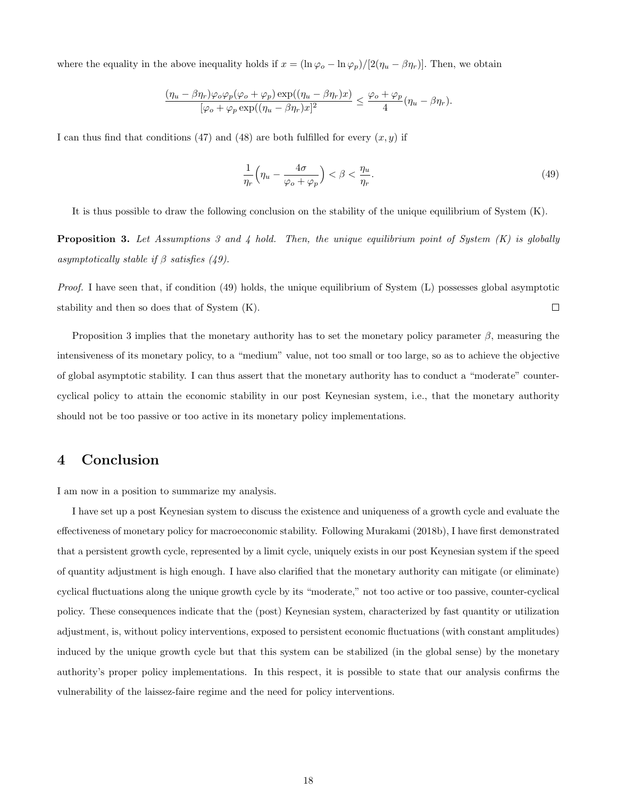where the equality in the above inequality holds if  $x = (\ln \varphi_o - \ln \varphi_p)/[2(\eta_u - \beta \eta_r)]$ . Then, we obtain

$$
\frac{(\eta_u - \beta\eta_r)\varphi_o\varphi_p(\varphi_o + \varphi_p)\exp((\eta_u - \beta\eta_r)x)}{[\varphi_o + \varphi_p\exp((\eta_u - \beta\eta_r)x)]^2} \le \frac{\varphi_o + \varphi_p}{4}(\eta_u - \beta\eta_r).
$$

I can thus find that conditions (47) and (48) are both fulfilled for every  $(x, y)$  if

$$
\frac{1}{\eta_r} \left( \eta_u - \frac{4\sigma}{\varphi_o + \varphi_p} \right) < \beta < \frac{\eta_u}{\eta_r}.\tag{49}
$$

It is thus possible to draw the following conclusion on the stability of the unique equilibrium of System (K).

**Proposition 3.** Let Assumptions 3 and 4 hold. Then, the unique equilibrium point of System  $(K)$  is globally asymptotically stable if  $\beta$  satisfies (49).

*Proof.* I have seen that, if condition  $(49)$  holds, the unique equilibrium of System  $(L)$  possesses global asymptotic  $\Box$ stability and then so does that of System (K).

Proposition 3 implies that the monetary authority has to set the monetary policy parameter  $\beta$ , measuring the intensiveness of its monetary policy, to a "medium" value, not too small or too large, so as to achieve the objective of global asymptotic stability. I can thus assert that the monetary authority has to conduct a "moderate" countercyclical policy to attain the economic stability in our post Keynesian system, i.e., that the monetary authority should not be too passive or too active in its monetary policy implementations.

### 4 Conclusion

I am now in a position to summarize my analysis.

I have set up a post Keynesian system to discuss the existence and uniqueness of a growth cycle and evaluate the effectiveness of monetary policy for macroeconomic stability. Following Murakami (2018b), I have first demonstrated that a persistent growth cycle, represented by a limit cycle, uniquely exists in our post Keynesian system if the speed of quantity adjustment is high enough. I have also clarified that the monetary authority can mitigate (or eliminate) cyclical fluctuations along the unique growth cycle by its "moderate," not too active or too passive, counter-cyclical policy. These consequences indicate that the (post) Keynesian system, characterized by fast quantity or utilization adjustment, is, without policy interventions, exposed to persistent economic fluctuations (with constant amplitudes) induced by the unique growth cycle but that this system can be stabilized (in the global sense) by the monetary authority's proper policy implementations. In this respect, it is possible to state that our analysis confirms the vulnerability of the laissez-faire regime and the need for policy interventions.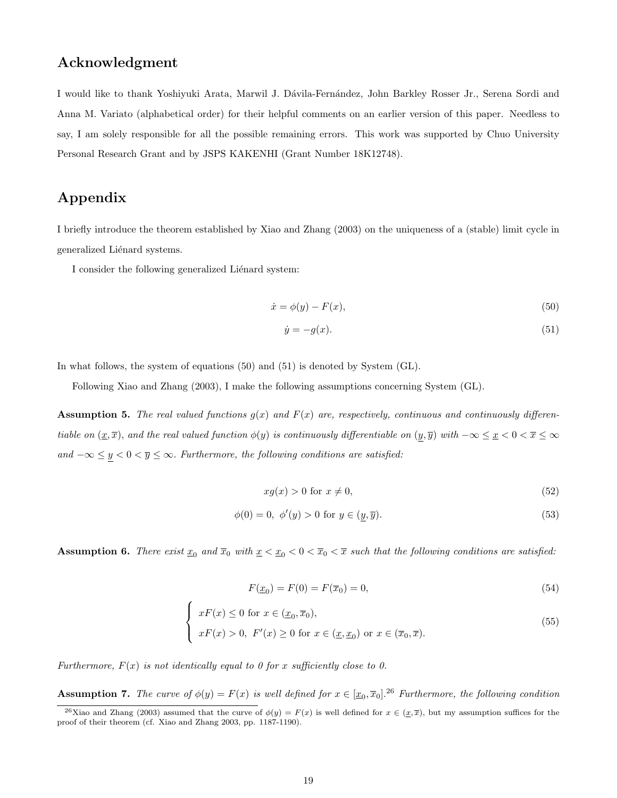### Acknowledgment

I would like to thank Yoshiyuki Arata, Marwil J. D´avila-Fern´andez, John Barkley Rosser Jr., Serena Sordi and Anna M. Variato (alphabetical order) for their helpful comments on an earlier version of this paper. Needless to say, I am solely responsible for all the possible remaining errors. This work was supported by Chuo University Personal Research Grant and by JSPS KAKENHI (Grant Number 18K12748).

## Appendix

I briefly introduce the theorem established by Xiao and Zhang (2003) on the uniqueness of a (stable) limit cycle in generalized Liénard systems.

I consider the following generalized Liénard system:

$$
\dot{x} = \phi(y) - F(x),\tag{50}
$$

$$
\dot{y} = -g(x). \tag{51}
$$

In what follows, the system of equations (50) and (51) is denoted by System (GL).

Following Xiao and Zhang (2003), I make the following assumptions concerning System (GL).

**Assumption 5.** The real valued functions  $g(x)$  and  $F(x)$  are, respectively, continuous and continuously differentiable on  $(\underline{x}, \overline{x})$ , and the real valued function  $\phi(y)$  is continuously differentiable on  $(\underline{y}, \overline{y})$  with  $-\infty \leq \underline{x} < 0 < \overline{x} \leq \infty$ and  $-\infty \le y < 0 < \overline{y} \le \infty$ . Furthermore, the following conditions are satisfied:

$$
xg(x) > 0 \text{ for } x \neq 0,\tag{52}
$$

$$
\phi(0) = 0, \ \phi'(y) > 0 \text{ for } y \in (y, \overline{y}).\tag{53}
$$

**Assumption 6.** There exist  $\underline{x}_0$  and  $\overline{x}_0$  with  $\underline{x} < \underline{x}_0 < 0 < \overline{x}_0 < \overline{x}$  such that the following conditions are satisfied:

$$
F(\underline{x}_0) = F(0) = F(\overline{x}_0) = 0,\t\t(54)
$$

$$
\begin{cases}\n xF(x) \le 0 \text{ for } x \in (\underline{x}_0, \overline{x}_0), \\
 xF(x) > 0, \ F'(x) \ge 0 \text{ for } x \in (\underline{x}, \underline{x}_0) \text{ or } x \in (\overline{x}_0, \overline{x}).\n\end{cases}
$$
\n(55)

Furthermore,  $F(x)$  is not identically equal to 0 for x sufficiently close to 0.

**Assumption 7.** The curve of  $\phi(y) = F(x)$  is well defined for  $x \in [\underline{x}_0, \overline{x}_0]$ .<sup>26</sup> Furthermore, the following condition

<sup>&</sup>lt;sup>26</sup>Xiao and Zhang (2003) assumed that the curve of  $\phi(y) = F(x)$  is well defined for  $x \in (\underline{x}, \overline{x})$ , but my assumption suffices for the proof of their theorem (cf. Xiao and Zhang 2003, pp. 1187-1190).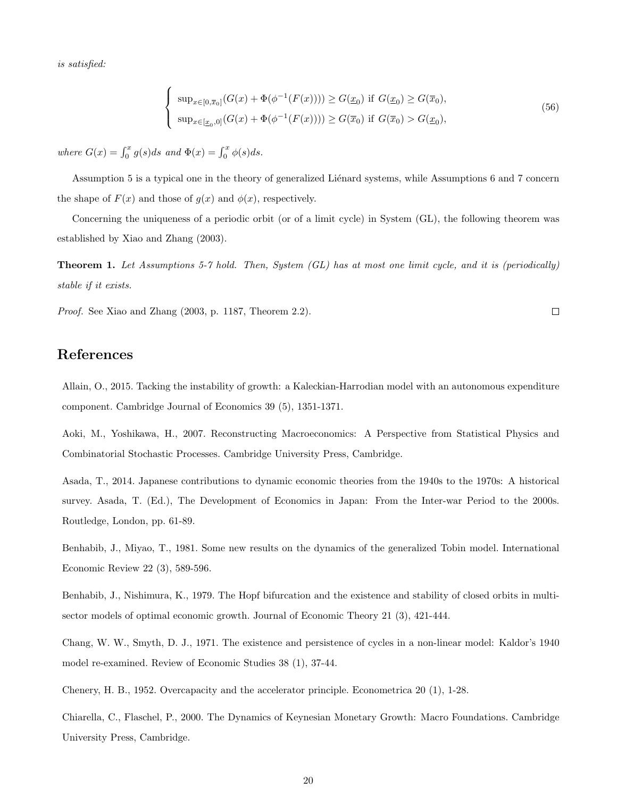is satisfied:

$$
\begin{cases}\n\sup_{x \in [0,\overline{x}_0]} (G(x) + \Phi(\phi^{-1}(F(x)))) \ge G(\underline{x}_0) \text{ if } G(\underline{x}_0) \ge G(\overline{x}_0), \\
\sup_{x \in [\underline{x}_0,0]} (G(x) + \Phi(\phi^{-1}(F(x)))) \ge G(\overline{x}_0) \text{ if } G(\overline{x}_0) > G(\underline{x}_0),\n\end{cases}
$$
\n(56)

 $\Box$ 

where  $G(x) = \int_0^x g(s)ds$  and  $\Phi(x) = \int_0^x \phi(s)ds$ .

 $\epsilon$ 

Assumption 5 is a typical one in the theory of generalized Liénard systems, while Assumptions 6 and 7 concern the shape of  $F(x)$  and those of  $g(x)$  and  $\phi(x)$ , respectively.

Concerning the uniqueness of a periodic orbit (or of a limit cycle) in System (GL), the following theorem was established by Xiao and Zhang (2003).

Theorem 1. Let Assumptions 5-7 hold. Then, System (GL) has at most one limit cycle, and it is (periodically) stable if it exists.

Proof. See Xiao and Zhang (2003, p. 1187, Theorem 2.2).

### References

Allain, O., 2015. Tacking the instability of growth: a Kaleckian-Harrodian model with an autonomous expenditure component. Cambridge Journal of Economics 39 (5), 1351-1371.

Aoki, M., Yoshikawa, H., 2007. Reconstructing Macroeconomics: A Perspective from Statistical Physics and Combinatorial Stochastic Processes. Cambridge University Press, Cambridge.

Asada, T., 2014. Japanese contributions to dynamic economic theories from the 1940s to the 1970s: A historical survey. Asada, T. (Ed.), The Development of Economics in Japan: From the Inter-war Period to the 2000s. Routledge, London, pp. 61-89.

Benhabib, J., Miyao, T., 1981. Some new results on the dynamics of the generalized Tobin model. International Economic Review 22 (3), 589-596.

Benhabib, J., Nishimura, K., 1979. The Hopf bifurcation and the existence and stability of closed orbits in multisector models of optimal economic growth. Journal of Economic Theory 21 (3), 421-444.

Chang, W. W., Smyth, D. J., 1971. The existence and persistence of cycles in a non-linear model: Kaldor's 1940 model re-examined. Review of Economic Studies 38 (1), 37-44.

Chenery, H. B., 1952. Overcapacity and the accelerator principle. Econometrica 20 (1), 1-28.

Chiarella, C., Flaschel, P., 2000. The Dynamics of Keynesian Monetary Growth: Macro Foundations. Cambridge University Press, Cambridge.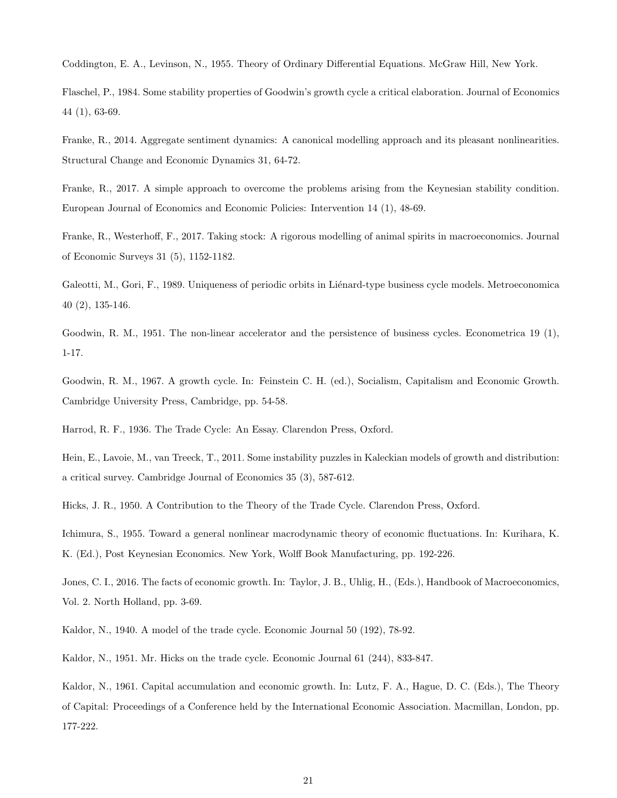Coddington, E. A., Levinson, N., 1955. Theory of Ordinary Differential Equations. McGraw Hill, New York.

Flaschel, P., 1984. Some stability properties of Goodwin's growth cycle a critical elaboration. Journal of Economics 44 (1), 63-69.

Franke, R., 2014. Aggregate sentiment dynamics: A canonical modelling approach and its pleasant nonlinearities. Structural Change and Economic Dynamics 31, 64-72.

Franke, R., 2017. A simple approach to overcome the problems arising from the Keynesian stability condition. European Journal of Economics and Economic Policies: Intervention 14 (1), 48-69.

Franke, R., Westerhoff, F., 2017. Taking stock: A rigorous modelling of animal spirits in macroeconomics. Journal of Economic Surveys 31 (5), 1152-1182.

Galeotti, M., Gori, F., 1989. Uniqueness of periodic orbits in Liénard-type business cycle models. Metroeconomica 40 (2), 135-146.

Goodwin, R. M., 1951. The non-linear accelerator and the persistence of business cycles. Econometrica 19 (1), 1-17.

Goodwin, R. M., 1967. A growth cycle. In: Feinstein C. H. (ed.), Socialism, Capitalism and Economic Growth. Cambridge University Press, Cambridge, pp. 54-58.

Harrod, R. F., 1936. The Trade Cycle: An Essay. Clarendon Press, Oxford.

Hein, E., Lavoie, M., van Treeck, T., 2011. Some instability puzzles in Kaleckian models of growth and distribution: a critical survey. Cambridge Journal of Economics 35 (3), 587-612.

Hicks, J. R., 1950. A Contribution to the Theory of the Trade Cycle. Clarendon Press, Oxford.

Ichimura, S., 1955. Toward a general nonlinear macrodynamic theory of economic fluctuations. In: Kurihara, K. K. (Ed.), Post Keynesian Economics. New York, Wolff Book Manufacturing, pp. 192-226.

Jones, C. I., 2016. The facts of economic growth. In: Taylor, J. B., Uhlig, H., (Eds.), Handbook of Macroeconomics, Vol. 2. North Holland, pp. 3-69.

Kaldor, N., 1940. A model of the trade cycle. Economic Journal 50 (192), 78-92.

Kaldor, N., 1951. Mr. Hicks on the trade cycle. Economic Journal 61 (244), 833-847.

Kaldor, N., 1961. Capital accumulation and economic growth. In: Lutz, F. A., Hague, D. C. (Eds.), The Theory of Capital: Proceedings of a Conference held by the International Economic Association. Macmillan, London, pp. 177-222.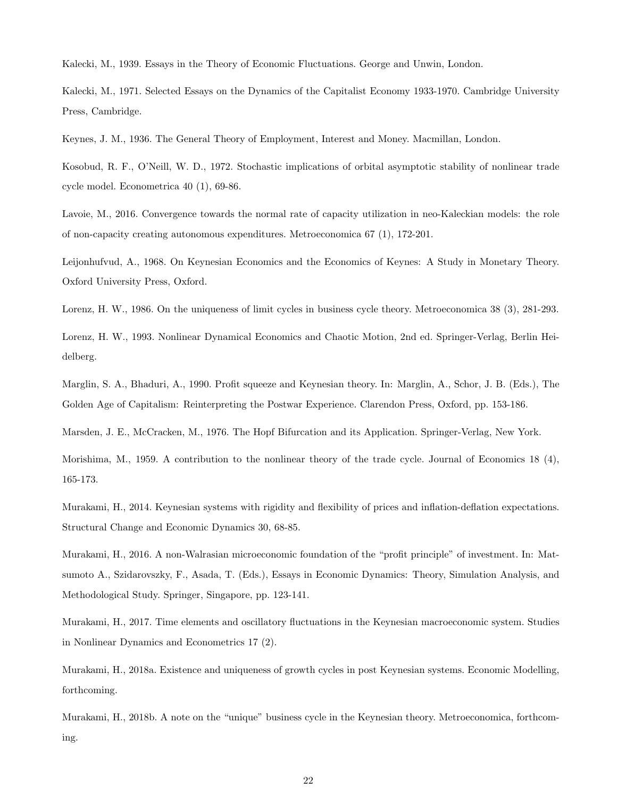Kalecki, M., 1939. Essays in the Theory of Economic Fluctuations. George and Unwin, London.

Kalecki, M., 1971. Selected Essays on the Dynamics of the Capitalist Economy 1933-1970. Cambridge University Press, Cambridge.

Keynes, J. M., 1936. The General Theory of Employment, Interest and Money. Macmillan, London.

Kosobud, R. F., O'Neill, W. D., 1972. Stochastic implications of orbital asymptotic stability of nonlinear trade cycle model. Econometrica 40 (1), 69-86.

Lavoie, M., 2016. Convergence towards the normal rate of capacity utilization in neo-Kaleckian models: the role of non-capacity creating autonomous expenditures. Metroeconomica 67 (1), 172-201.

Leijonhufvud, A., 1968. On Keynesian Economics and the Economics of Keynes: A Study in Monetary Theory. Oxford University Press, Oxford.

Lorenz, H. W., 1986. On the uniqueness of limit cycles in business cycle theory. Metroeconomica 38 (3), 281-293.

Lorenz, H. W., 1993. Nonlinear Dynamical Economics and Chaotic Motion, 2nd ed. Springer-Verlag, Berlin Heidelberg.

Marglin, S. A., Bhaduri, A., 1990. Profit squeeze and Keynesian theory. In: Marglin, A., Schor, J. B. (Eds.), The Golden Age of Capitalism: Reinterpreting the Postwar Experience. Clarendon Press, Oxford, pp. 153-186.

Marsden, J. E., McCracken, M., 1976. The Hopf Bifurcation and its Application. Springer-Verlag, New York.

Morishima, M., 1959. A contribution to the nonlinear theory of the trade cycle. Journal of Economics 18 (4), 165-173.

Murakami, H., 2014. Keynesian systems with rigidity and flexibility of prices and inflation-deflation expectations. Structural Change and Economic Dynamics 30, 68-85.

Murakami, H., 2016. A non-Walrasian microeconomic foundation of the "profit principle" of investment. In: Matsumoto A., Szidarovszky, F., Asada, T. (Eds.), Essays in Economic Dynamics: Theory, Simulation Analysis, and Methodological Study. Springer, Singapore, pp. 123-141.

Murakami, H., 2017. Time elements and oscillatory fluctuations in the Keynesian macroeconomic system. Studies in Nonlinear Dynamics and Econometrics 17 (2).

Murakami, H., 2018a. Existence and uniqueness of growth cycles in post Keynesian systems. Economic Modelling, forthcoming.

Murakami, H., 2018b. A note on the "unique" business cycle in the Keynesian theory. Metroeconomica, forthcoming.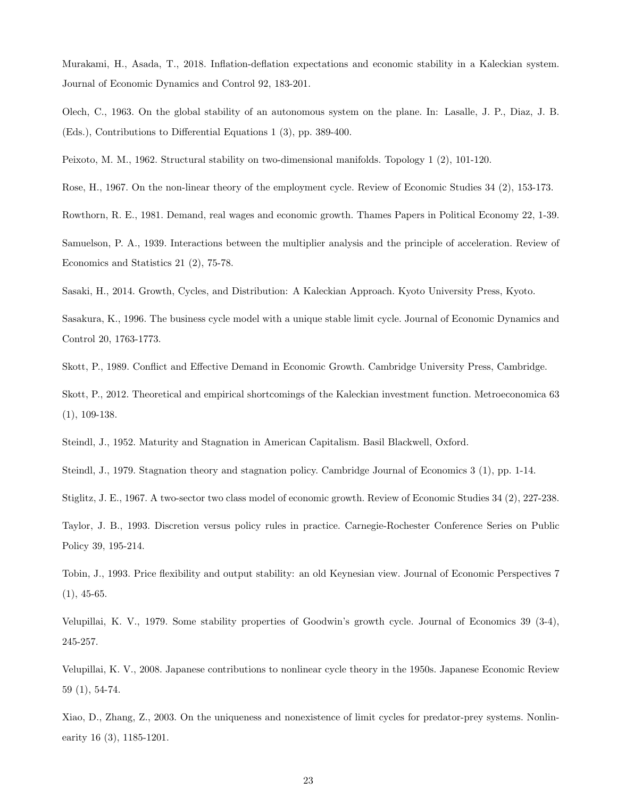Murakami, H., Asada, T., 2018. Inflation-deflation expectations and economic stability in a Kaleckian system. Journal of Economic Dynamics and Control 92, 183-201.

Olech, C., 1963. On the global stability of an autonomous system on the plane. In: Lasalle, J. P., Diaz, J. B. (Eds.), Contributions to Differential Equations 1 (3), pp. 389-400.

Peixoto, M. M., 1962. Structural stability on two-dimensional manifolds. Topology 1 (2), 101-120.

Rose, H., 1967. On the non-linear theory of the employment cycle. Review of Economic Studies 34 (2), 153-173.

Rowthorn, R. E., 1981. Demand, real wages and economic growth. Thames Papers in Political Economy 22, 1-39.

Samuelson, P. A., 1939. Interactions between the multiplier analysis and the principle of acceleration. Review of Economics and Statistics 21 (2), 75-78.

Sasaki, H., 2014. Growth, Cycles, and Distribution: A Kaleckian Approach. Kyoto University Press, Kyoto.

Sasakura, K., 1996. The business cycle model with a unique stable limit cycle. Journal of Economic Dynamics and Control 20, 1763-1773.

Skott, P., 1989. Conflict and Effective Demand in Economic Growth. Cambridge University Press, Cambridge.

Skott, P., 2012. Theoretical and empirical shortcomings of the Kaleckian investment function. Metroeconomica 63 (1), 109-138.

Steindl, J., 1952. Maturity and Stagnation in American Capitalism. Basil Blackwell, Oxford.

Steindl, J., 1979. Stagnation theory and stagnation policy. Cambridge Journal of Economics 3 (1), pp. 1-14.

Stiglitz, J. E., 1967. A two-sector two class model of economic growth. Review of Economic Studies 34 (2), 227-238.

Taylor, J. B., 1993. Discretion versus policy rules in practice. Carnegie-Rochester Conference Series on Public Policy 39, 195-214.

Tobin, J., 1993. Price flexibility and output stability: an old Keynesian view. Journal of Economic Perspectives 7  $(1), 45-65.$ 

Velupillai, K. V., 1979. Some stability properties of Goodwin's growth cycle. Journal of Economics 39 (3-4), 245-257.

Velupillai, K. V., 2008. Japanese contributions to nonlinear cycle theory in the 1950s. Japanese Economic Review 59 (1), 54-74.

Xiao, D., Zhang, Z., 2003. On the uniqueness and nonexistence of limit cycles for predator-prey systems. Nonlinearity 16 (3), 1185-1201.